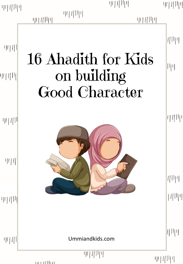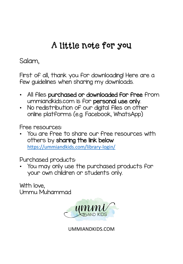#### A little note for you

Salam,

First of all, thank you for downloading! Here are a few guidelines when sharing my downloads.

- All files purchased or downloaded for free from ummiandkids.com is for personal use only.
- No redistribution of our digital files on other online platforms (e.g. Facebook, WhatsApp)

Free resources:

• You are free to share our free resources with others by sharing the link below <https://ummiandkids.com/library-login/>

Purchased products:

• You may only use the purchased products for your own children or students only.

With love, Ummu Muhammad



UMMIANDKIDS.COM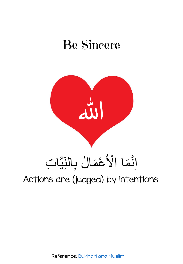## Be Sincere



#### Actions are (judged) by intentions.  $\frac{1}{2}$ إِنَّمَا الْأَعْمَالُ بِالنَّبَّاتِ  $\tilde{\lambda}$ ة<br>ك

Reference: [Bukhari and Muslim](https://sunnah.com/nawawi40)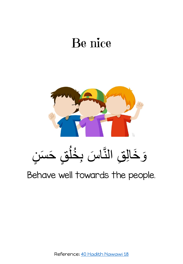## Be nice



 $\sqrt{\phantom{a}}$ وَخَالِقِ النَّاسَ بِخُلُقٍ حَسَنٍ و<br>د  $\frac{1}{2}$  $\overline{\phantom{a}}$ ا د دا  $\overline{\phantom{a}}$ ا<br>سا  $\left( \frac{1}{2} \right)$ َ

Behave well towards the people.

Reference: [40 Hadith Nawawi 18](https://sunnah.com/nawawi40/18)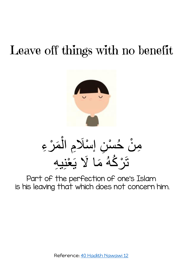# Leave off things with no benefit



مِنْ خُسْنِ إِسْلَامِ الْمَرْءِ أ  $\ddot{\phantom{0}}$  $\overline{\phantom{a}}$ ∫<br> *ِ* أ تَرْكُهُ مَا لَا يَعْنِيهِ ∫<br> *ِ* و<br>مم  $\sum$ 

Part of the perfection of one's Islam is his leaving that which does not concern him.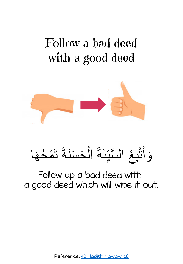## Follow a bad deed with a good deed



#### أ وَأَنْبِعْ السَّبِّئَةَ الْحَسَنَةَ تَمْحُهَا  $\tilde{\epsilon}$  $\overline{\phantom{a}}$ ا<br>ا<br>ا َ  $\tilde{\mathbf{r}}$ و<br>— أ  $\tilde{\phantom{a}}$  $\tilde{\cdot}$ ا<br>سا **֝**

#### Follow up a bad deed with a good deed which will wipe it out.

Reference: [40 Hadith Nawawi 18](https://sunnah.com/nawawi40/18)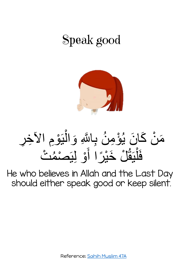## Speak good



#### مَنْ كَانَ يُؤْمِنُ بِاللَّهِ وَالْيَوْمِ الأَخِرِ و<br>پ  $\ddot{\phantom{0}}$ أ َ فَلْيَقُلْ خَيْرًا أَوْ لِيَصْمُتْ ة<br>أ م<br>ا<br>ا  $\overline{\phantom{a}}$ أ  $\ddot{\phantom{a}}$ و<br>ام

He who believes in Allah and the Last Day should either speak good or keep silent.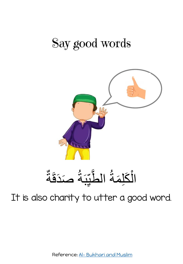### Say good words



الْكَلِمَةُ الطَّبِّبَةُ صَدَ  $\overline{\phantom{a}}$ و<br>م• ∡ ِمَ المُ ام<br>استعمال و<br>م• ن ∫<br>
\ أ َدََة  $\overline{\phantom{a}}$ 

It is also charity to utter a good word.

Reference: Al- [Bukhari and Muslim](https://sunnah.com/riyadussaliheen/2/14)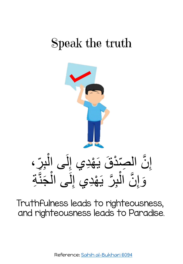## Speak the truth



Truthfulness leads to righteousness, and righteousness leads to Paradise.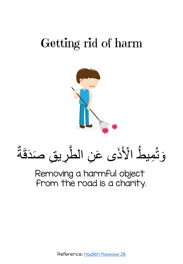## Getting rid of harm



وَ نُمِيطُ الْأَذَى عَنِ الطَّرِيقِ صَدَقَ ام<br>استعمال  $\tilde{\mathbf{c}}$ و<br>ک ِ<br>ُ  $\overline{\phantom{a}}$ ي<br>مهر ة

Removing a harmful object from the road is a charity.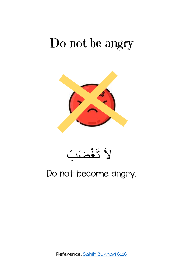#### Do not be angry

![](_page_10_Picture_1.jpeg)

![](_page_10_Picture_2.jpeg)

#### Do not become angry.

Reference: [Sahih Bukhari 6116](https://sunnah.com/bukhari/78/143)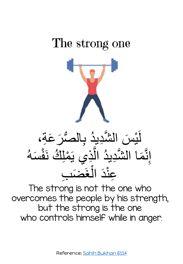## The strong one

![](_page_11_Picture_1.jpeg)

#### لَّيْسَ الشَّدِيدُ بِالصُّرَ عَةِ،  $\overline{\phantom{a}}$ و<br>ا  $\overline{\phantom{a}}$  $\frac{1}{2}$ <u>م</u> إِنَّمَا الشَّدِيدُ الَّذِي يَمْلِكُ نَفْسَهُ ام<br>استعمال و<br>ا  $\tilde{\lambda}$ ام<br>ا و<br>مم أ  $\overline{\phantom{a}}$ عِنْدَ الغَضَبَ ار ما أ  $\ddot{\phantom{0}}$

The strong is not the one who overcomes the people by his strength, but the strong is the one who controls himself while in anger.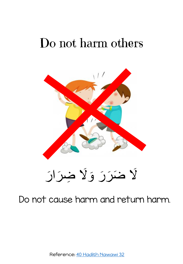## Do not harm others

![](_page_12_Picture_1.jpeg)

#### Do not cause harm and return harm.

Reference: [40 Hadith Nawawi 32](https://sunnah.com/nawawi40/32)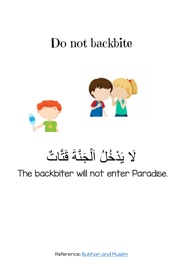#### Do not backbite

![](_page_13_Picture_1.jpeg)

#### ū<br>∎ لَا يَدْخُلُ اَلْجَنَّةَ قَتَّاتٌ  $\tilde{\epsilon}$ ا (ام أ و<br>د **ا**<br>ا  $\tilde{\mathcal{S}}$

The backbiter will not enter Paradise.

Reference: [Bukhari and Muslim](https://sunnah.com/urn/2118190)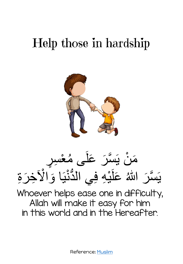## Help those in hardship

![](_page_14_Picture_1.jpeg)

#### مَنْ يَسَّرَ عَلَى مُعْسِرٍ أن<br>أمر و<br>ام <u>م</u>  $\tilde{\mathbf{c}}$  $\overline{\phantom{a}}$  $\ddot{\phantom{0}}$ ∫<br>∧ يَسَّرَ اللّهُ عَلَيْهِ فِي الدُّنْيَا وَالْآخِرَةِ  $\frac{1}{2}$ <u>م</u> ا<br>ا  $\ddot{\phantom{0}}$

Whoever helps ease one in difficulty, Allah will make it easy for him in this world and in the Hereafter.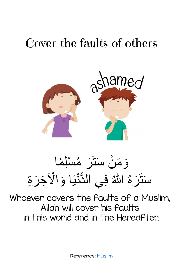## Cover the faults of others

![](_page_15_Picture_1.jpeg)

وَمَنْ سَنَزَ مُسْلِمًا ًا<br>المراجع ة<br>أ و<br>ام  $\overline{\phantom{a}}$  $\tilde{\mathbf{r}}$  $\ddot{\phantom{0}}$  $\tilde{\lambda}$ َ سَتَرَهُ اللّهُ فِي الدُّنْيَا وَالْآخِرَةِ  $\overline{\phantom{a}}$ ا<br>ا  $\tilde{\mathbf{r}}$ 

Whoever covers the faults of a Muslim, Allah will cover his faults in this world and in the Hereafter.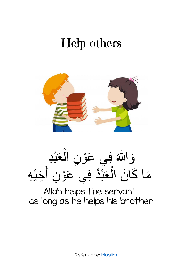## Help others

![](_page_16_Picture_1.jpeg)

![](_page_16_Picture_2.jpeg)

Allah helps the servant as long as he helps his brother.

Reference: [Muslim](https://sunnah.com/riyadussaliheen/1/245)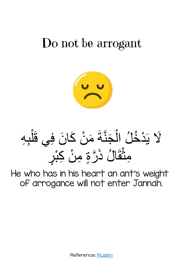#### Do not be arrogant

![](_page_17_Picture_1.jpeg)

لَا يَذْخُلُ الْجَنَّةَ مَنْ كَانَ فِي قَلْبِهِ  $\ddot{\phantom{0}}$ ∫<br> *ِ*  $\tilde{\phantom{a}}$ ا **ام**ار أ و<br>د  $\ddot{\phantom{0}}$ ا<br>ا  $\widetilde{\mathsf{X}}$ أ مِنْقَالُ ذَرَّةٍ مِنْ كِبْرِ  $\ddot{\phantom{0}}$ أ

He who has in his heart an ant's weight of arrogance will not enter Jannah.